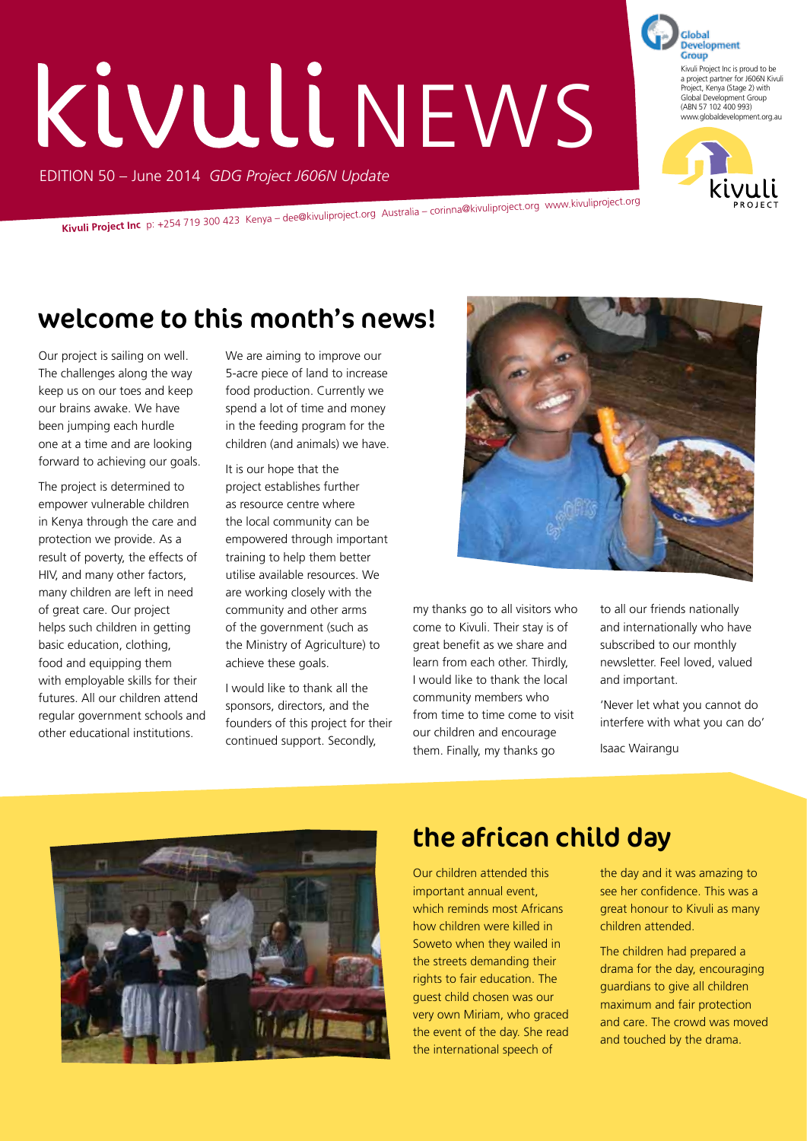# EDITION 50 – June 2014 *GDG Project J606N Update* KIVULI NEWS

**Kivuli Project Inc** p: +254 719 300 423 Kenya – dee@kivuliproject.org Australia – corinna@kivuliproject.org www.kivuliproject.org

## welcome to this month's news!

Our project is sailing on well. The challenges along the way keep us on our toes and keep our brains awake. We have been jumping each hurdle one at a time and are looking forward to achieving our goals.

The project is determined to empower vulnerable children in Kenya through the care and protection we provide. As a result of poverty, the effects of HIV, and many other factors, many children are left in need of great care. Our project helps such children in getting basic education, clothing, food and equipping them with employable skills for their futures. All our children attend regular government schools and other educational institutions.

We are aiming to improve our 5-acre piece of land to increase food production. Currently we spend a lot of time and money in the feeding program for the children (and animals) we have.

It is our hope that the project establishes further as resource centre where the local community can be empowered through important training to help them better utilise available resources. We are working closely with the community and other arms of the government (such as the Ministry of Agriculture) to achieve these goals.

I would like to thank all the sponsors, directors, and the founders of this project for their continued support. Secondly,



my thanks go to all visitors who come to Kivuli. Their stay is of great benefit as we share and learn from each other. Thirdly, I would like to thank the local community members who from time to time come to visit our children and encourage them. Finally, my thanks go

to all our friends nationally and internationally who have subscribed to our monthly newsletter. Feel loved, valued and important.

'Never let what you cannot do interfere with what you can do' Isaac Wairangu



## the african child day

Our children attended this important annual event, which reminds most Africans how children were killed in Soweto when they wailed in the streets demanding their rights to fair education. The guest child chosen was our very own Miriam, who graced the event of the day. She read the international speech of

the day and it was amazing to see her confidence. This was a great honour to Kivuli as many children attended.

The children had prepared a drama for the day, encouraging guardians to give all children maximum and fair protection and care. The crowd was moved and touched by the drama.

**Development** Group Kivuli Project Inc is proud to be a project partner for J606N Kivuli Project, Kenya (Stage 2) with Global Development Group (ABN 57 102 400 993) www.globaldevelopment.org.au

Global

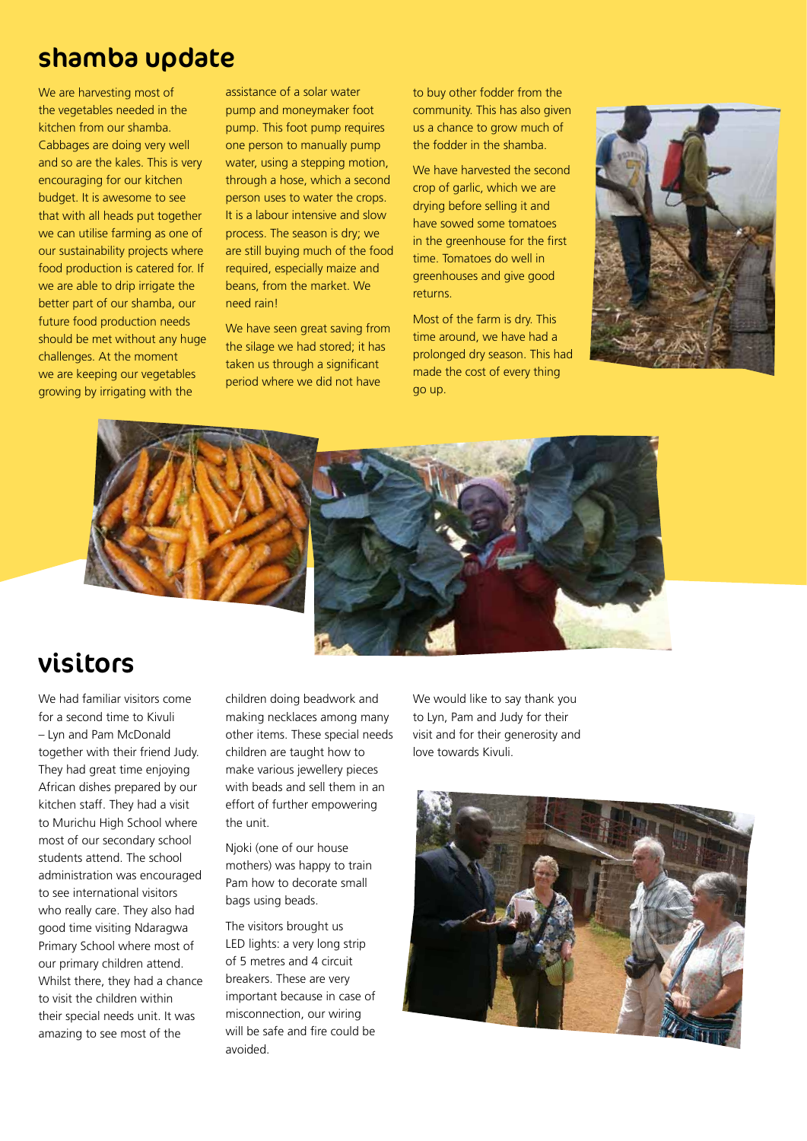#### shamba update

We are harvesting most of the vegetables needed in the kitchen from our shamba. Cabbages are doing very well and so are the kales. This is very encouraging for our kitchen budget. It is awesome to see that with all heads put together we can utilise farming as one of our sustainability projects where food production is catered for. If we are able to drip irrigate the better part of our shamba, our future food production needs should be met without any huge challenges. At the moment we are keeping our vegetables growing by irrigating with the

assistance of a solar water pump and moneymaker foot pump. This foot pump requires one person to manually pump water, using a stepping motion, through a hose, which a second person uses to water the crops. It is a labour intensive and slow process. The season is dry; we are still buying much of the food required, especially maize and beans, from the market. We need rain!

We have seen great saving from the silage we had stored; it has taken us through a significant period where we did not have

to buy other fodder from the community. This has also given us a chance to grow much of the fodder in the shamba.

We have harvested the second crop of garlic, which we are drying before selling it and have sowed some tomatoes in the greenhouse for the first time. Tomatoes do well in greenhouses and give good returns.

Most of the farm is dry. This time around, we have had a prolonged dry season. This had made the cost of every thing go up.





## visitors

We had familiar visitors come for a second time to Kivuli – Lyn and Pam McDonald together with their friend Judy. They had great time enjoying African dishes prepared by our kitchen staff. They had a visit to Murichu High School where most of our secondary school students attend. The school administration was encouraged to see international visitors who really care. They also had good time visiting Ndaragwa Primary School where most of our primary children attend. Whilst there, they had a chance to visit the children within their special needs unit. It was amazing to see most of the

children doing beadwork and making necklaces among many other items. These special needs children are taught how to make various jewellery pieces with beads and sell them in an effort of further empowering the unit.

Njoki (one of our house mothers) was happy to train Pam how to decorate small bags using beads.

The visitors brought us LED lights: a very long strip of 5 metres and 4 circuit breakers. These are very important because in case of misconnection, our wiring will be safe and fire could be avoided.

We would like to say thank you to Lyn, Pam and Judy for their visit and for their generosity and love towards Kivuli.

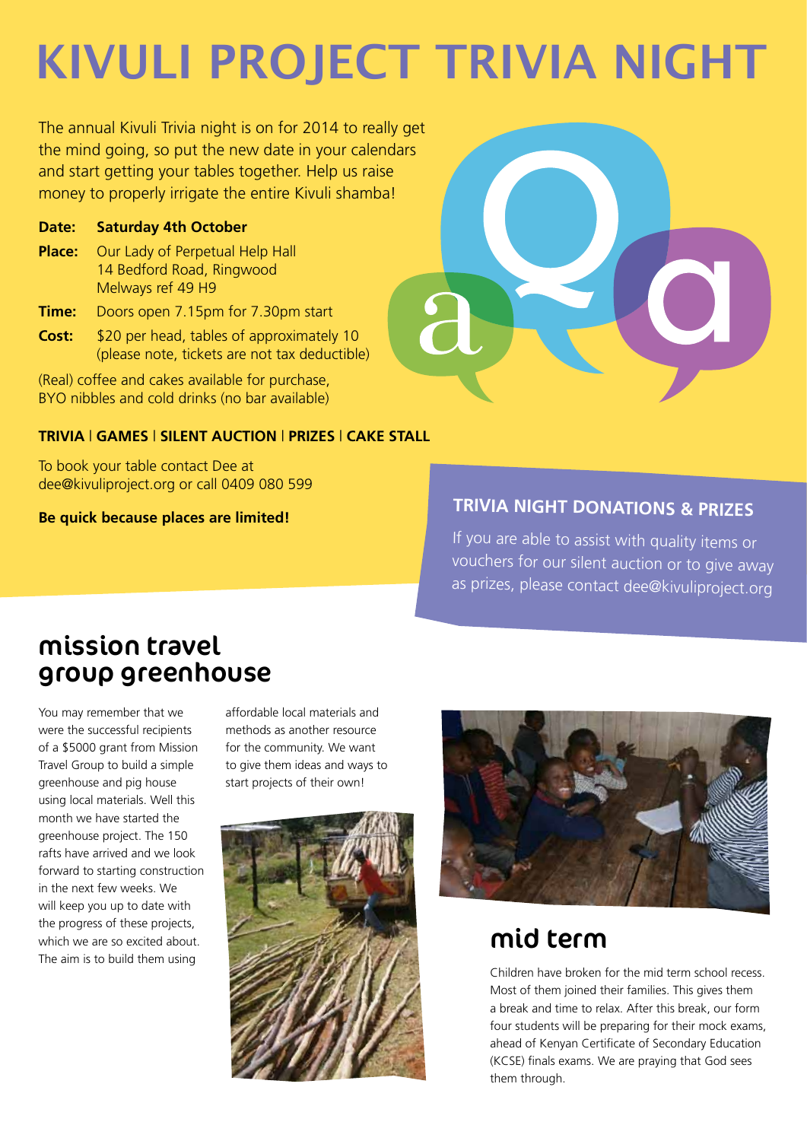## **kivuli project trivia night**

The annual Kivuli Trivia night is on for 2014 to really get the mind going, so put the new date in your calendars and start getting your tables together. Help us raise money to properly irrigate the entire Kivuli shamba!

#### **Date: Saturday 4th October**

- **Place:** Our Lady of Perpetual Help Hall 14 Bedford Road, Ringwood Melways ref 49 H9
- **Time:** Doors open 7.15pm for 7.30pm start
- **Cost:** \$20 per head, tables of approximately 10 (please note, tickets are not tax deductible)

(Real) coffee and cakes available for purchase, BYO nibbles and cold drinks (no bar available)

#### **TRIVIA** | **GAMES** | **SILENT AUCTION** | **PRIZES** | **CAKE STALL**

To book your table contact Dee at dee@kivuliproject.org or call 0409 080 599

**Be quick because places are limited!**



#### **Trivia Night Donations & Prizes**

If you are able to assist with quality items or vouchers for our silent auction or to give away as prizes, please contact dee@kivuliproject.org

## mission travel group greenhouse

You may remember that we were the successful recipients of a \$5000 grant from Mission Travel Group to build a simple greenhouse and pig house using local materials. Well this month we have started the greenhouse project. The 150 rafts have arrived and we look forward to starting construction in the next few weeks. We will keep you up to date with the progress of these projects, which we are so excited about. The aim is to build them using

affordable local materials and methods as another resource for the community. We want to give them ideas and ways to start projects of their own!





#### mid term

Children have broken for the mid term school recess. Most of them joined their families. This gives them a break and time to relax. After this break, our form four students will be preparing for their mock exams, ahead of Kenyan Certificate of Secondary Education (KCSE) finals exams. We are praying that God sees them through.